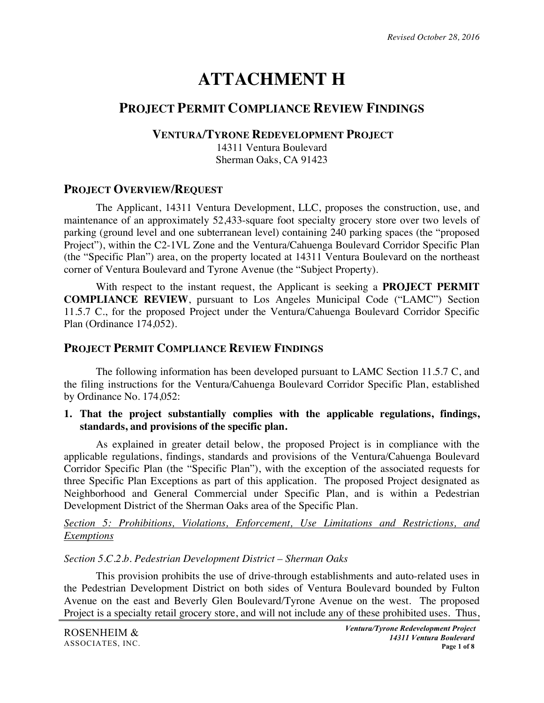# **ATTACHMENT H**

# **PROJECT PERMIT COMPLIANCE REVIEW FINDINGS**

#### **VENTURA/TYRONE REDEVELOPMENT PROJECT**

14311 Ventura Boulevard Sherman Oaks, CA 91423

## **PROJECT OVERVIEW/REQUEST**

The Applicant, 14311 Ventura Development, LLC, proposes the construction, use, and maintenance of an approximately 52,433-square foot specialty grocery store over two levels of parking (ground level and one subterranean level) containing 240 parking spaces (the "proposed Project"), within the C2-1VL Zone and the Ventura/Cahuenga Boulevard Corridor Specific Plan (the "Specific Plan") area, on the property located at 14311 Ventura Boulevard on the northeast corner of Ventura Boulevard and Tyrone Avenue (the "Subject Property).

With respect to the instant request, the Applicant is seeking a **PROJECT PERMIT COMPLIANCE REVIEW**, pursuant to Los Angeles Municipal Code ("LAMC") Section 11.5.7 C., for the proposed Project under the Ventura/Cahuenga Boulevard Corridor Specific Plan (Ordinance 174,052).

## **PROJECT PERMIT COMPLIANCE REVIEW FINDINGS**

The following information has been developed pursuant to LAMC Section 11.5.7 C, and the filing instructions for the Ventura/Cahuenga Boulevard Corridor Specific Plan, established by Ordinance No. 174,052:

#### **1. That the project substantially complies with the applicable regulations, findings, standards, and provisions of the specific plan.**

As explained in greater detail below, the proposed Project is in compliance with the applicable regulations, findings, standards and provisions of the Ventura/Cahuenga Boulevard Corridor Specific Plan (the "Specific Plan"), with the exception of the associated requests for three Specific Plan Exceptions as part of this application. The proposed Project designated as Neighborhood and General Commercial under Specific Plan, and is within a Pedestrian Development District of the Sherman Oaks area of the Specific Plan.

#### *Section 5: Prohibitions, Violations, Enforcement, Use Limitations and Restrictions, and Exemptions*

## *Section 5.C.2.b. Pedestrian Development District – Sherman Oaks*

This provision prohibits the use of drive-through establishments and auto-related uses in the Pedestrian Development District on both sides of Ventura Boulevard bounded by Fulton Avenue on the east and Beverly Glen Boulevard/Tyrone Avenue on the west. The proposed Project is a specialty retail grocery store, and will not include any of these prohibited uses. Thus,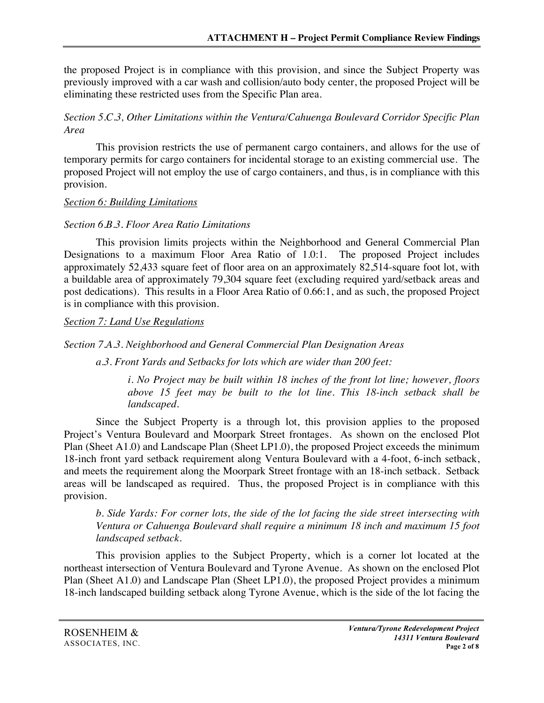the proposed Project is in compliance with this provision, and since the Subject Property was previously improved with a car wash and collision/auto body center, the proposed Project will be eliminating these restricted uses from the Specific Plan area.

## *Section 5.C.3, Other Limitations within the Ventura/Cahuenga Boulevard Corridor Specific Plan Area*

This provision restricts the use of permanent cargo containers, and allows for the use of temporary permits for cargo containers for incidental storage to an existing commercial use. The proposed Project will not employ the use of cargo containers, and thus, is in compliance with this provision.

## *Section 6: Building Limitations*

# *Section 6.B.3. Floor Area Ratio Limitations*

This provision limits projects within the Neighborhood and General Commercial Plan Designations to a maximum Floor Area Ratio of 1.0:1. The proposed Project includes approximately 52,433 square feet of floor area on an approximately 82,514-square foot lot, with a buildable area of approximately 79,304 square feet (excluding required yard/setback areas and post dedications). This results in a Floor Area Ratio of 0.66:1, and as such, the proposed Project is in compliance with this provision.

*Section 7: Land Use Regulations*

# *Section 7.A.3. Neighborhood and General Commercial Plan Designation Areas*

*a.3. Front Yards and Setbacks for lots which are wider than 200 feet:* 

*i. No Project may be built within 18 inches of the front lot line; however, floors above 15 feet may be built to the lot line. This 18-inch setback shall be landscaped.*

Since the Subject Property is a through lot, this provision applies to the proposed Project's Ventura Boulevard and Moorpark Street frontages. As shown on the enclosed Plot Plan (Sheet A1.0) and Landscape Plan (Sheet LP1.0), the proposed Project exceeds the minimum 18-inch front yard setback requirement along Ventura Boulevard with a 4-foot, 6-inch setback, and meets the requirement along the Moorpark Street frontage with an 18-inch setback. Setback areas will be landscaped as required. Thus, the proposed Project is in compliance with this provision.

*b. Side Yards: For corner lots, the side of the lot facing the side street intersecting with Ventura or Cahuenga Boulevard shall require a minimum 18 inch and maximum 15 foot landscaped setback.*

This provision applies to the Subject Property, which is a corner lot located at the northeast intersection of Ventura Boulevard and Tyrone Avenue. As shown on the enclosed Plot Plan (Sheet A1.0) and Landscape Plan (Sheet LP1.0), the proposed Project provides a minimum 18-inch landscaped building setback along Tyrone Avenue, which is the side of the lot facing the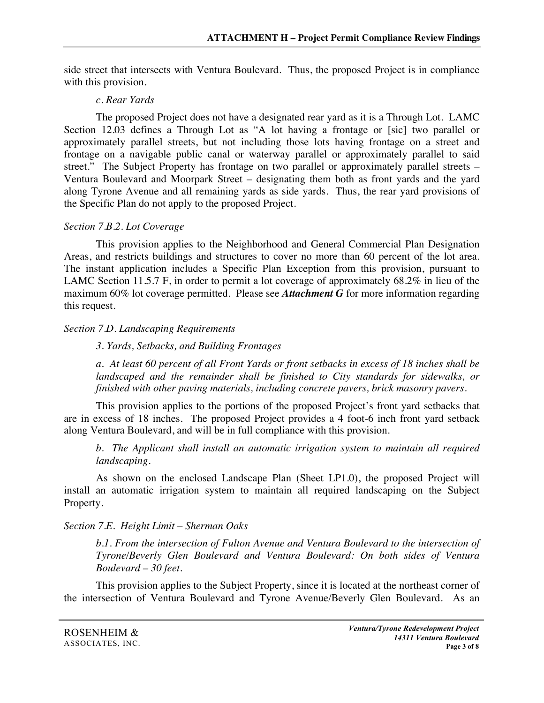side street that intersects with Ventura Boulevard. Thus, the proposed Project is in compliance with this provision.

#### *c. Rear Yards*

The proposed Project does not have a designated rear yard as it is a Through Lot. LAMC Section 12.03 defines a Through Lot as "A lot having a frontage or [sic] two parallel or approximately parallel streets, but not including those lots having frontage on a street and frontage on a navigable public canal or waterway parallel or approximately parallel to said street." The Subject Property has frontage on two parallel or approximately parallel streets – Ventura Boulevard and Moorpark Street – designating them both as front yards and the yard along Tyrone Avenue and all remaining yards as side yards. Thus, the rear yard provisions of the Specific Plan do not apply to the proposed Project.

#### *Section 7.B.2. Lot Coverage*

This provision applies to the Neighborhood and General Commercial Plan Designation Areas, and restricts buildings and structures to cover no more than 60 percent of the lot area. The instant application includes a Specific Plan Exception from this provision, pursuant to LAMC Section 11.5.7 F, in order to permit a lot coverage of approximately 68.2% in lieu of the maximum 60% lot coverage permitted. Please see *Attachment G* for more information regarding this request.

## *Section 7.D. Landscaping Requirements*

#### *3. Yards, Setbacks, and Building Frontages*

*a. At least 60 percent of all Front Yards or front setbacks in excess of 18 inches shall be*  landscaped and the remainder shall be finished to City standards for sidewalks, or *finished with other paving materials, including concrete pavers, brick masonry pavers.*

This provision applies to the portions of the proposed Project's front yard setbacks that are in excess of 18 inches. The proposed Project provides a 4 foot-6 inch front yard setback along Ventura Boulevard, and will be in full compliance with this provision.

*b. The Applicant shall install an automatic irrigation system to maintain all required landscaping.* 

As shown on the enclosed Landscape Plan (Sheet LP1.0), the proposed Project will install an automatic irrigation system to maintain all required landscaping on the Subject Property.

## *Section 7.E. Height Limit – Sherman Oaks*

*b.1. From the intersection of Fulton Avenue and Ventura Boulevard to the intersection of Tyrone/Beverly Glen Boulevard and Ventura Boulevard: On both sides of Ventura Boulevard – 30 feet.*

This provision applies to the Subject Property, since it is located at the northeast corner of the intersection of Ventura Boulevard and Tyrone Avenue/Beverly Glen Boulevard. As an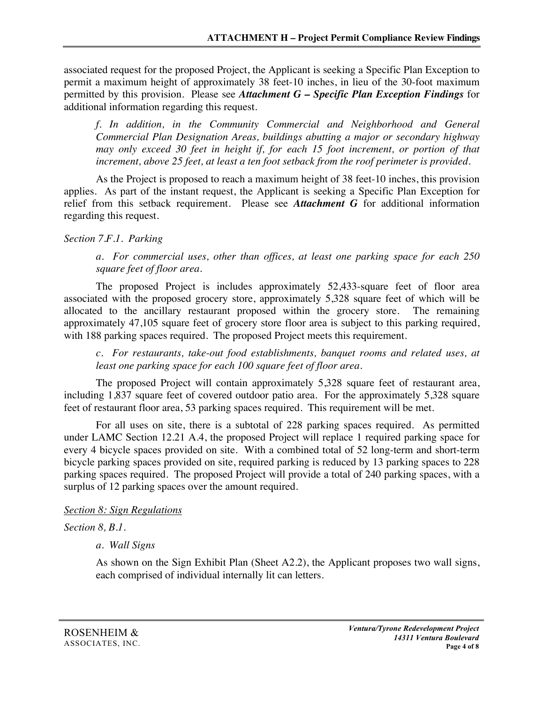associated request for the proposed Project, the Applicant is seeking a Specific Plan Exception to permit a maximum height of approximately 38 feet-10 inches, in lieu of the 30-foot maximum permitted by this provision. Please see *Attachment G – Specific Plan Exception Findings* for additional information regarding this request.

*f. In addition, in the Community Commercial and Neighborhood and General Commercial Plan Designation Areas, buildings abutting a major or secondary highway may only exceed 30 feet in height if, for each 15 foot increment, or portion of that increment, above 25 feet, at least a ten foot setback from the roof perimeter is provided.*

As the Project is proposed to reach a maximum height of 38 feet-10 inches, this provision applies. As part of the instant request, the Applicant is seeking a Specific Plan Exception for relief from this setback requirement. Please see *Attachment G* for additional information regarding this request.

#### *Section 7.F.1. Parking*

*a. For commercial uses, other than offices, at least one parking space for each 250 square feet of floor area.*

The proposed Project is includes approximately 52,433-square feet of floor area associated with the proposed grocery store, approximately 5,328 square feet of which will be allocated to the ancillary restaurant proposed within the grocery store. The remaining approximately 47,105 square feet of grocery store floor area is subject to this parking required, with 188 parking spaces required. The proposed Project meets this requirement.

*c. For restaurants, take-out food establishments, banquet rooms and related uses, at least one parking space for each 100 square feet of floor area.* 

The proposed Project will contain approximately 5,328 square feet of restaurant area, including 1,837 square feet of covered outdoor patio area. For the approximately 5,328 square feet of restaurant floor area, 53 parking spaces required. This requirement will be met.

For all uses on site, there is a subtotal of 228 parking spaces required. As permitted under LAMC Section 12.21 A.4, the proposed Project will replace 1 required parking space for every 4 bicycle spaces provided on site. With a combined total of 52 long-term and short-term bicycle parking spaces provided on site, required parking is reduced by 13 parking spaces to 228 parking spaces required. The proposed Project will provide a total of 240 parking spaces, with a surplus of 12 parking spaces over the amount required.

#### *Section 8: Sign Regulations*

## *Section 8, B.1.*

*a. Wall Signs*

As shown on the Sign Exhibit Plan (Sheet A2.2), the Applicant proposes two wall signs, each comprised of individual internally lit can letters.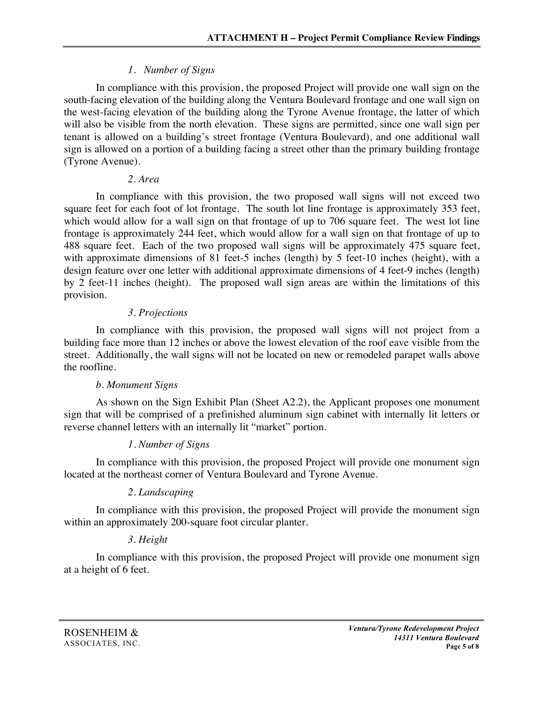# *1. Number of Signs*

In compliance with this provision, the proposed Project will provide one wall sign on the south-facing elevation of the building along the Ventura Boulevard frontage and one wall sign on the west-facing elevation of the building along the Tyrone Avenue frontage, the latter of which will also be visible from the north elevation. These signs are permitted, since one wall sign per tenant is allowed on a building's street frontage (Ventura Boulevard), and one additional wall sign is allowed on a portion of a building facing a street other than the primary building frontage (Tyrone Avenue).

## *2. Area*

In compliance with this provision, the two proposed wall signs will not exceed two square feet for each foot of lot frontage. The south lot line frontage is approximately 353 feet, which would allow for a wall sign on that frontage of up to 706 square feet. The west lot line frontage is approximately 244 feet, which would allow for a wall sign on that frontage of up to 488 square feet. Each of the two proposed wall signs will be approximately 475 square feet, with approximate dimensions of 81 feet-5 inches (length) by 5 feet-10 inches (height), with a design feature over one letter with additional approximate dimensions of 4 feet-9 inches (length) by 2 feet-11 inches (height). The proposed wall sign areas are within the limitations of this provision.

## *3. Projections*

In compliance with this provision, the proposed wall signs will not project from a building face more than 12 inches or above the lowest elevation of the roof eave visible from the street. Additionally, the wall signs will not be located on new or remodeled parapet walls above the roofline.

## *b. Monument Signs*

As shown on the Sign Exhibit Plan (Sheet A2.2), the Applicant proposes one monument sign that will be comprised of a prefinished aluminum sign cabinet with internally lit letters or reverse channel letters with an internally lit "market" portion.

# *1. Number of Signs*

In compliance with this provision, the proposed Project will provide one monument sign located at the northeast corner of Ventura Boulevard and Tyrone Avenue.

# *2. Landscaping*

In compliance with this provision, the proposed Project will provide the monument sign within an approximately 200-square foot circular planter.

# *3. Height*

In compliance with this provision, the proposed Project will provide one monument sign at a height of 6 feet.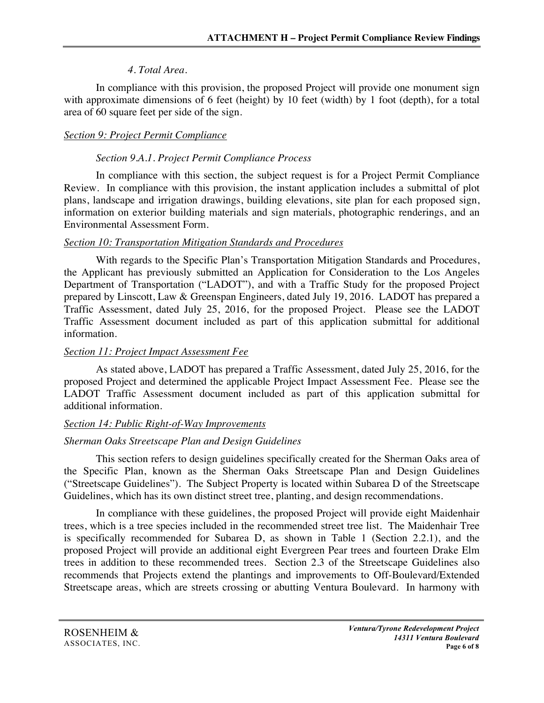## *4. Total Area.*

In compliance with this provision, the proposed Project will provide one monument sign with approximate dimensions of 6 feet (height) by 10 feet (width) by 1 foot (depth), for a total area of 60 square feet per side of the sign.

# *Section 9: Project Permit Compliance*

## *Section 9.A.1. Project Permit Compliance Process*

In compliance with this section, the subject request is for a Project Permit Compliance Review. In compliance with this provision, the instant application includes a submittal of plot plans, landscape and irrigation drawings, building elevations, site plan for each proposed sign, information on exterior building materials and sign materials, photographic renderings, and an Environmental Assessment Form.

## *Section 10: Transportation Mitigation Standards and Procedures*

With regards to the Specific Plan's Transportation Mitigation Standards and Procedures, the Applicant has previously submitted an Application for Consideration to the Los Angeles Department of Transportation ("LADOT"), and with a Traffic Study for the proposed Project prepared by Linscott, Law & Greenspan Engineers, dated July 19, 2016. LADOT has prepared a Traffic Assessment, dated July 25, 2016, for the proposed Project. Please see the LADOT Traffic Assessment document included as part of this application submittal for additional information.

## *Section 11: Project Impact Assessment Fee*

As stated above, LADOT has prepared a Traffic Assessment, dated July 25, 2016, for the proposed Project and determined the applicable Project Impact Assessment Fee. Please see the LADOT Traffic Assessment document included as part of this application submittal for additional information.

# *Section 14: Public Right-of-Way Improvements*

# *Sherman Oaks Streetscape Plan and Design Guidelines*

This section refers to design guidelines specifically created for the Sherman Oaks area of the Specific Plan, known as the Sherman Oaks Streetscape Plan and Design Guidelines ("Streetscape Guidelines"). The Subject Property is located within Subarea D of the Streetscape Guidelines, which has its own distinct street tree, planting, and design recommendations.

In compliance with these guidelines, the proposed Project will provide eight Maidenhair trees, which is a tree species included in the recommended street tree list. The Maidenhair Tree is specifically recommended for Subarea D, as shown in Table 1 (Section 2.2.1), and the proposed Project will provide an additional eight Evergreen Pear trees and fourteen Drake Elm trees in addition to these recommended trees. Section 2.3 of the Streetscape Guidelines also recommends that Projects extend the plantings and improvements to Off-Boulevard/Extended Streetscape areas, which are streets crossing or abutting Ventura Boulevard. In harmony with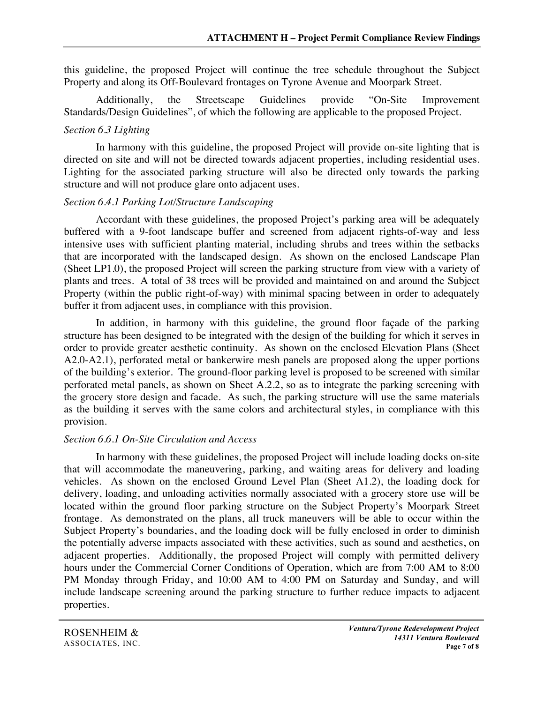this guideline, the proposed Project will continue the tree schedule throughout the Subject Property and along its Off-Boulevard frontages on Tyrone Avenue and Moorpark Street.

Additionally, the Streetscape Guidelines provide "On-Site Improvement Standards/Design Guidelines", of which the following are applicable to the proposed Project.

#### *Section 6.3 Lighting*

In harmony with this guideline, the proposed Project will provide on-site lighting that is directed on site and will not be directed towards adjacent properties, including residential uses. Lighting for the associated parking structure will also be directed only towards the parking structure and will not produce glare onto adjacent uses.

#### *Section 6.4.1 Parking Lot/Structure Landscaping*

Accordant with these guidelines, the proposed Project's parking area will be adequately buffered with a 9-foot landscape buffer and screened from adjacent rights-of-way and less intensive uses with sufficient planting material, including shrubs and trees within the setbacks that are incorporated with the landscaped design. As shown on the enclosed Landscape Plan (Sheet LP1.0), the proposed Project will screen the parking structure from view with a variety of plants and trees. A total of 38 trees will be provided and maintained on and around the Subject Property (within the public right-of-way) with minimal spacing between in order to adequately buffer it from adjacent uses, in compliance with this provision. 

In addition, in harmony with this guideline, the ground floor façade of the parking structure has been designed to be integrated with the design of the building for which it serves in order to provide greater aesthetic continuity. As shown on the enclosed Elevation Plans (Sheet A2.0-A2.1), perforated metal or bankerwire mesh panels are proposed along the upper portions of the building's exterior. The ground-floor parking level is proposed to be screened with similar perforated metal panels, as shown on Sheet A.2.2, so as to integrate the parking screening with the grocery store design and facade. As such, the parking structure will use the same materials as the building it serves with the same colors and architectural styles, in compliance with this provision.

#### *Section 6.6.1 On-Site Circulation and Access*

In harmony with these guidelines, the proposed Project will include loading docks on-site that will accommodate the maneuvering, parking, and waiting areas for delivery and loading vehicles. As shown on the enclosed Ground Level Plan (Sheet A1.2), the loading dock for delivery, loading, and unloading activities normally associated with a grocery store use will be located within the ground floor parking structure on the Subject Property's Moorpark Street frontage. As demonstrated on the plans, all truck maneuvers will be able to occur within the Subject Property's boundaries, and the loading dock will be fully enclosed in order to diminish the potentially adverse impacts associated with these activities, such as sound and aesthetics, on adjacent properties. Additionally, the proposed Project will comply with permitted delivery hours under the Commercial Corner Conditions of Operation, which are from 7:00 AM to 8:00 PM Monday through Friday, and 10:00 AM to 4:00 PM on Saturday and Sunday, and will include landscape screening around the parking structure to further reduce impacts to adjacent properties.